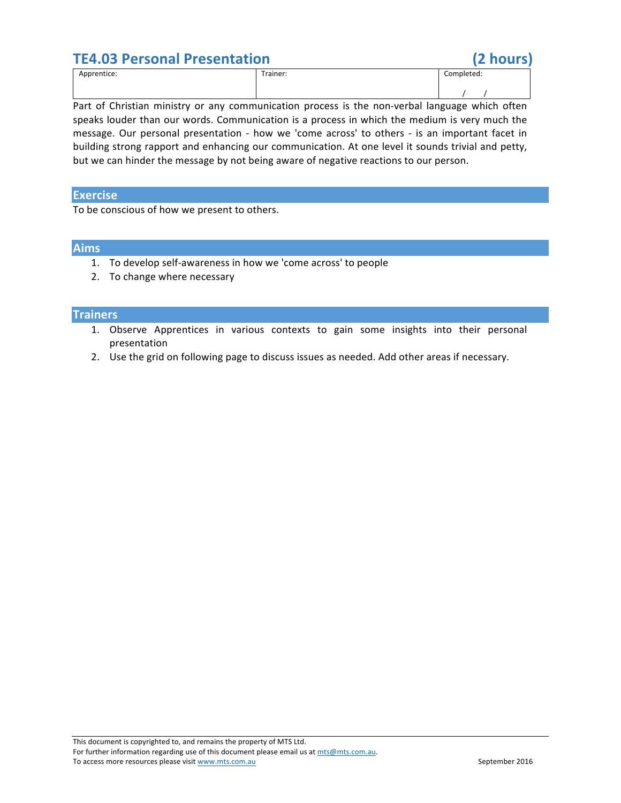

Part of Christian ministry or any communication process is the non-verbal language which often speaks louder than our words. Communication is a process in which the medium is very much the message. Our personal presentation - how we 'come across' to others - is an important facet in building strong rapport and enhancing our communication. At one level it sounds trivial and petty, but we can hinder the message by not being aware of negative reactions to our person.

## **Exercise**

To be conscious of how we present to others.

# **Aims**

- 1. To develop self-awareness in how we 'come across' to people
- 2. To change where necessary

### **Trainers**

- 1. Observe Apprentices in various contexts to gain some insights into their personal presentation
- 2. Use the grid on following page to discuss issues as needed. Add other areas if necessary.